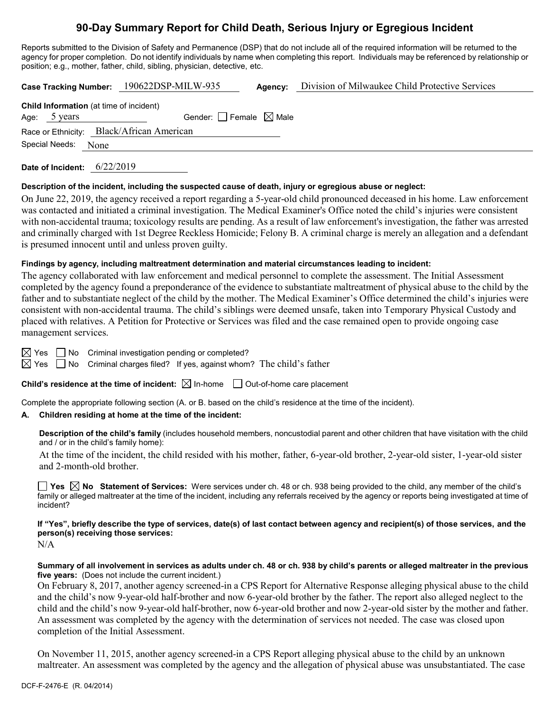# **90-Day Summary Report for Child Death, Serious Injury or Egregious Incident**

Reports submitted to the Division of Safety and Permanence (DSP) that do not include all of the required information will be returned to the agency for proper completion. Do not identify individuals by name when completing this report. Individuals may be referenced by relationship or position; e.g., mother, father, child, sibling, physician, detective, etc.

**Case Tracking Number:** 190622DSP-MILW-935 **Agency:** Division of Milwaukee Child Protective Services

|                     | <b>Child Information</b> (at time of incident) |
|---------------------|------------------------------------------------|
| Age: 5 years        | Gender: $\Box$ Female $\boxtimes$ Male         |
|                     | Race or Ethnicity: Black/African American      |
| Special Needs: None |                                                |

**Date of Incident:** 6/22/2019

### **Description of the incident, including the suspected cause of death, injury or egregious abuse or neglect:**

On June 22, 2019, the agency received a report regarding a 5-year-old child pronounced deceased in his home. Law enforcement was contacted and initiated a criminal investigation. The Medical Examiner's Office noted the child's injuries were consistent with non-accidental trauma; toxicology results are pending. As a result of law enforcement's investigation, the father was arrested and criminally charged with 1st Degree Reckless Homicide; Felony B. A criminal charge is merely an allegation and a defendant is presumed innocent until and unless proven guilty.

### **Findings by agency, including maltreatment determination and material circumstances leading to incident:**

The agency collaborated with law enforcement and medical personnel to complete the assessment. The Initial Assessment completed by the agency found a preponderance of the evidence to substantiate maltreatment of physical abuse to the child by the father and to substantiate neglect of the child by the mother. The Medical Examiner's Office determined the child's injuries were consistent with non-accidental trauma. The child's siblings were deemed unsafe, taken into Temporary Physical Custody and placed with relatives. A Petition for Protective or Services was filed and the case remained open to provide ongoing case management services.

 $\boxtimes$  Yes  $\Box$  No Criminal investigation pending or completed?

 $\boxtimes$  Yes  $\Box$  No Criminal charges filed? If yes, against whom? The child's father

## **Child's residence at the time of incident:**  $\boxtimes$  In-home  $\Box$  Out-of-home care placement

Complete the appropriate following section (A. or B. based on the child's residence at the time of the incident).

## **A. Children residing at home at the time of the incident:**

**Description of the child's family** (includes household members, noncustodial parent and other children that have visitation with the child and / or in the child's family home):

At the time of the incident, the child resided with his mother, father, 6-year-old brother, 2-year-old sister, 1-year-old sister and 2-month-old brother.

**Yes No Statement of Services:** Were services under ch. 48 or ch. 938 being provided to the child, any member of the child's family or alleged maltreater at the time of the incident, including any referrals received by the agency or reports being investigated at time of incident?

# **If "Yes", briefly describe the type of services, date(s) of last contact between agency and recipient(s) of those services, and the person(s) receiving those services:**

N/A

### **Summary of all involvement in services as adults under ch. 48 or ch. 938 by child's parents or alleged maltreater in the previous five years:** (Does not include the current incident.)

On February 8, 2017, another agency screened-in a CPS Report for Alternative Response alleging physical abuse to the child and the child's now 9-year-old half-brother and now 6-year-old brother by the father. The report also alleged neglect to the child and the child's now 9-year-old half-brother, now 6-year-old brother and now 2-year-old sister by the mother and father. An assessment was completed by the agency with the determination of services not needed. The case was closed upon completion of the Initial Assessment.

On November 11, 2015, another agency screened-in a CPS Report alleging physical abuse to the child by an unknown maltreater. An assessment was completed by the agency and the allegation of physical abuse was unsubstantiated. The case